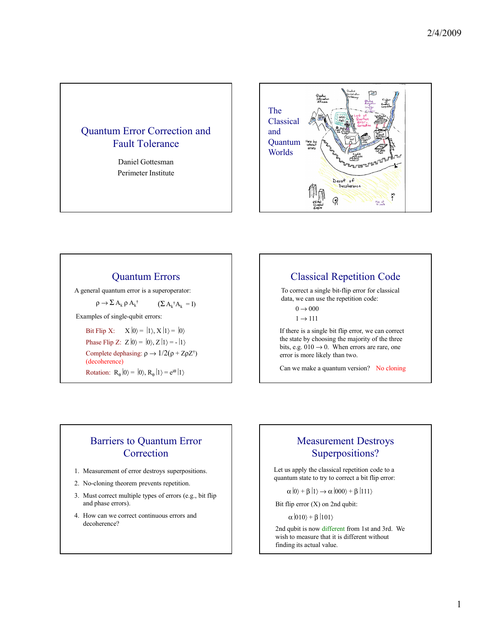### Quantum Error Correction and Fault Tolerance

Daniel Gottesman Perimeter Institute



### Quantum Errors

A general quantum error is a superoperator:

 $ρ \rightarrow Σ$  Α<sub>k</sub>  $ρ$  Α<sub>k</sub><sup>†</sup>  $(\Sigma A_k^{\dagger} A_k = I)$ 

Examples of single-qubit errors:

Bit Flip X:  $X |0\rangle = |1\rangle, X |1\rangle = |0\rangle$ Phase Flip Z:  $Z|0\rangle = |0\rangle, Z|1\rangle = -|1\rangle$ Complete dephasing:  $\rho \rightarrow 1/2(\rho + Z\rho Z^{\dagger})$ (decoherence) Rotation:  $R_{\theta} |0\rangle = |0\rangle, R_{\theta} |1\rangle = e^{i\theta} |1\rangle$ 

# Classical Repetition Code

To correct a single bit-flip error for classical data, we can use the repetition code:

 $0 \rightarrow 000$ 

 $1 \rightarrow 111$ 

If there is a single bit flip error, we can correct the state by choosing the majority of the three bits, e.g.  $010 \rightarrow 0$ . When errors are rare, one error is more likely than two.

Can we make a quantum version? No cloning

## Barriers to Quantum Error **Correction**

- 1. Measurement of error destroys superpositions.
- 2. No-cloning theorem prevents repetition.
- 3. Must correct multiple types of errors (e.g., bit flip and phase errors).
- 4. How can we correct continuous errors and decoherence?

# Measurement Destroys Superpositions?

Let us apply the classical repetition code to a quantum state to try to correct a bit flip error:

 $\alpha$   $\ket{0}$  +  $\beta$   $\ket{1}$   $\rightarrow \alpha$   $\ket{000}$  +  $\beta$   $\ket{111}$ 

Bit flip error (X) on 2nd qubit:

 $\alpha$  |010 $\rangle$  +  $\beta$  |101 $\rangle$ 

2nd qubit is now different from 1st and 3rd. We wish to measure that it is different without finding its actual value.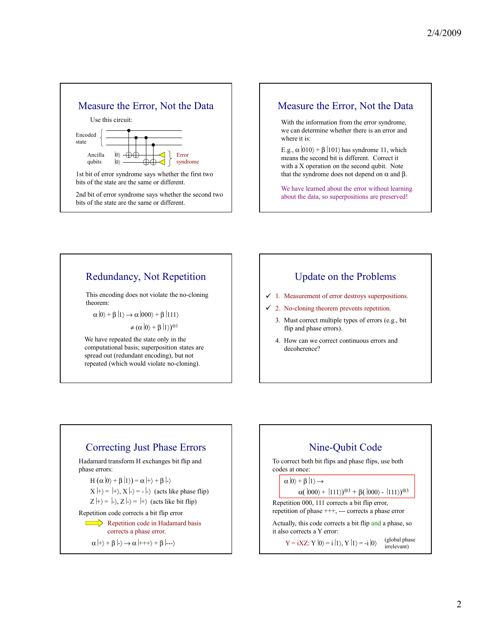



# Redundancy, Not Repetition

This encoding does not violate the no-cloning theorem:

 $\alpha|0\rangle + \beta|1\rangle \rightarrow \alpha|000\rangle + \beta|111\rangle$ 

 $\neq$  ( $\alpha$  |0) +  $\beta$  |1))<sup> $\otimes$ 3</sup>

We have repeated the state only in the computational basis; superposition states are spread out (redundant encoding), but not repeated (which would violate no-cloning).

# Update on the Problems

- $\checkmark$  1. Measurement of error destroys superpositions.
- $\checkmark$  2. No-cloning theorem prevents repetition.
	- 3. Must correct multiple types of errors (e.g., bit flip and phase errors).
	- 4. How can we correct continuous errors and decoherence?



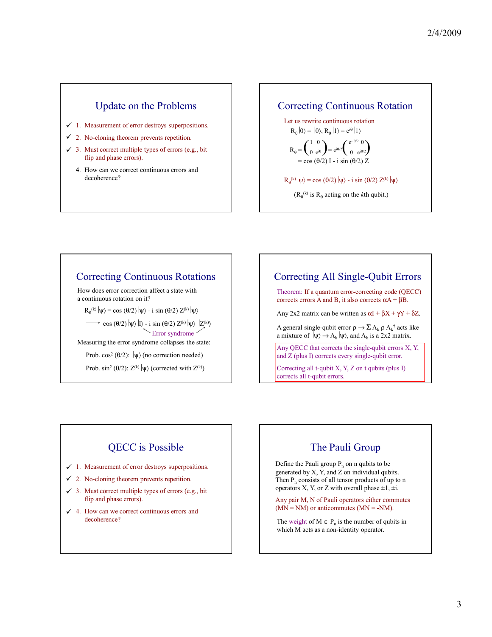#### Update on the Problems

- $\checkmark$  1. Measurement of error destroys superpositions.
- $\checkmark$  2. No-cloning theorem prevents repetition.
- $\checkmark$  3. Must correct multiple types of errors (e.g., bit flip and phase errors).
	- 4. How can we correct continuous errors and decoherence?

Correcting Continuous Rotation

Let us rewrite continuous rotation  $R_{\theta}|0\rangle = |0\rangle, R_{\theta}|1\rangle = e^{i\theta}|1\rangle$  $R_{\theta} = \begin{pmatrix} 1 & 0 \\ 0 & e^{i\theta} \end{pmatrix} = e^{i\theta/2} \begin{pmatrix} e^{-i\theta/2} & 0 \\ 0 & e^{i\theta/2} \end{pmatrix}$ 0  $e^{i\theta}$  $e^{-i\theta/2}$  0 0  $e^{i\theta/2}$ 

 $\theta$ (2) I - i sin ( $\theta$ (2)

 $R_{\theta}^{(k)} |\psi\rangle$  = cos ( $\theta$ /2)  $|\psi\rangle$  - i sin ( $\theta$ /2) Z<sup>(k)</sup>  $|\psi\rangle$ 

 $(R_{\theta}^{(k)}$  is  $R_{\theta}$  acting on the *k*th qubit.)

### Correcting Continuous Rotations

How does error correction affect a state with a continuous rotation on it?

 $R_{\theta}^{(k)} |\psi\rangle = \cos (\theta/2) |\psi\rangle - i \sin (\theta/2) Z^{(k)} |\psi\rangle$ 

cos ( $\theta$ /2)  $|\psi\rangle$  |I $\rangle$  - i sin ( $\theta$ /2) Z<sup>(k)</sup>  $|\psi\rangle$   $|Z^{(k)}\rangle$ Error syndrome

Measuring the error syndrome collapses the state:

Prob. cos<sup>2</sup> ( $\theta$ /2):  $|\psi\rangle$  (no correction needed)

Prob. sin<sup>2</sup> ( $\theta$ /2): Z<sup>(k)</sup> | $\psi$  (corrected with Z<sup>(k)</sup>)

Correcting All Single-Qubit Errors

Theorem: If a quantum error-correcting code (QECC) corrects errors A and B, it also corrects  $\alpha$ A +  $\beta$ B.

Any 2x2 matrix can be written as  $\alpha I + \beta X + \gamma Y + \delta Z$ .

A general single-qubit error  $\rho \to \Sigma A_k \rho A_k^{\dagger}$  acts like a mixture of  $|\psi\rangle \rightarrow A_k |\psi\rangle$ , and  $A_k$  is a 2x2 matrix.

Any QECC that corrects the single-qubit errors X, Y, and Z (plus I) corrects every single-qubit error.

Correcting all t-qubit X, Y, Z on t qubits (plus I) corrects all t-qubit errors.

# QECC is Possible

- $\checkmark$  1. Measurement of error destroys superpositions.
- $\checkmark$  2. No-cloning theorem prevents repetition.
- $\checkmark$  3. Must correct multiple types of errors (e.g., bit flip and phase errors).
- $\checkmark$  4. How can we correct continuous errors and decoherence?

## The Pauli Group

Define the Pauli group  $P_n$  on n qubits to be generated by X, Y, and Z on individual qubits. Then  $P_n$  consists of all tensor products of up to n operators X, Y, or Z with overall phase  $\pm 1$ ,  $\pm i$ .

Any pair M, N of Pauli operators either commutes  $(MN = NM)$  or anticommutes  $(MN = NM)$ .

The weight of  $M \in P_n$  is the number of qubits in which M acts as a non-identity operator.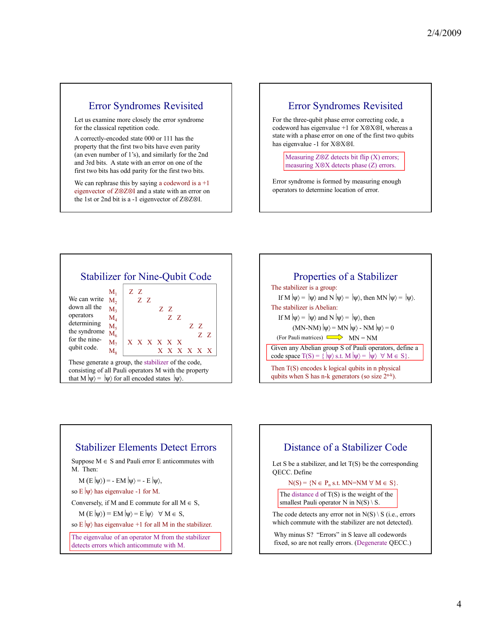#### Error Syndromes Revisited

Let us examine more closely the error syndrome for the classical repetition code.

A correctly-encoded state 000 or 111 has the property that the first two bits have even parity (an even number of 1's), and similarly for the 2nd and 3rd bits. A state with an error on one of the first two bits has odd parity for the first two bits.

We can rephrase this by saying a codeword is  $a +1$ eigenvector of Z⊗Z⊗I and a state with an error on the 1st or 2nd bit is a -1 eigenvector of Z⊗Z⊗I.

#### Error Syndromes Revisited

For the three-qubit phase error correcting code, a codeword has eigenvalue +1 for X⊗X⊗I, whereas a state with a phase error on one of the first two qubits has eigenvalue -1 for X⊗X⊗I.

Measuring Z⊗Z detects bit flip (X) errors; measuring X⊗X detects phase (Z) errors.

Error syndrome is formed by measuring enough operators to determine location of error.



consisting of all Pauli operators M with the property that M  $|\psi\rangle = |\psi\rangle$  for all encoded states  $|\psi\rangle$ .



### Stabilizer Elements Detect Errors

Suppose  $M \in S$  and Pauli error E anticommutes with M. Then:

$$
M(E|\psi\rangle) = - EM|\psi\rangle = - E|\psi\rangle,
$$

so E  $|\psi\rangle$  has eigenvalue -1 for M.

Conversely, if M and E commute for all  $M \in S$ ,

 $M(E|\psi\rangle) = EM |\psi\rangle = E |\psi\rangle \quad \forall M \in S$ ,

so E 
$$
|\psi\rangle
$$
 has eigenvalue +1 for all M in the stabilizer.

The eigenvalue of an operator M from the stabilizer detects errors which anticommute with M.

## Distance of a Stabilizer Code Let S be a stabilizer, and let  $T(S)$  be the corresponding QECC. Define  $N(S) = \{N \in P_n \text{ s.t. } MN = NM \forall M \in S\}.$ The distance  $d$  of  $T(S)$  is the weight of the smallest Pauli operator N in  $N(S) \setminus S$ . The code detects any error not in  $N(S) \setminus S$  (i.e., errors which commute with the stabilizer are not detected).

Why minus S? "Errors" in S leave all codewords fixed, so are not really errors. (Degenerate QECC.)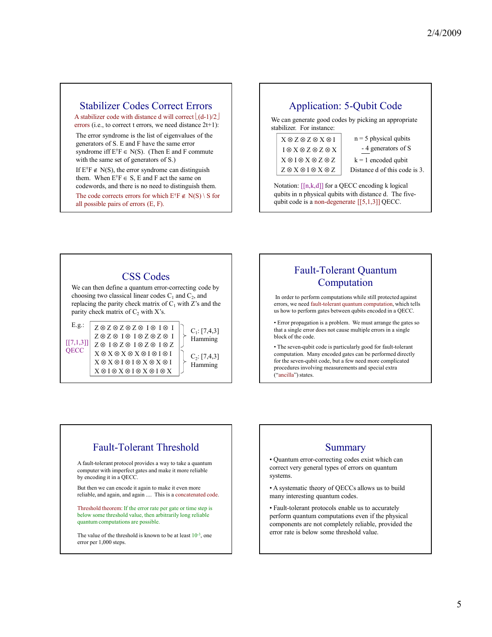#### Stabilizer Codes Correct Errors

A stabilizer code with distance d will correct  $\lfloor (d-1)/2 \rfloor$ errors (i.e., to correct t errors, we need distance 2t+1):

The error syndrome is the list of eigenvalues of the generators of S. E and F have the same error syndrome iff  $E^{\dagger}F \in N(S)$ . (Then E and F commute with the same set of generators of S.)

If  $E^{\dagger}F \notin N(S)$ , the error syndrome can distinguish them. When  $E^{\dagger}F \in S$ , E and F act the same on codewords, and there is no need to distinguish them.

The code corrects errors for which  $E^{\dagger}F \notin N(S) \setminus S$  for all possible pairs of errors (E, F).

### Application: 5-Qubit Code

We can generate good codes by picking an appropriate stabilizer. For instance:

| $X \otimes Z \otimes Z \otimes X \otimes I$ |
|---------------------------------------------|
| $I \otimes X \otimes Z \otimes Z \otimes X$ |
| $X \otimes I \otimes X \otimes Z \otimes Z$ |
| $Z \otimes X \otimes I \otimes X \otimes Z$ |

 $n = 5$  physical qubits - 4 generators of S

 $k = 1$  encoded qubit

Distance d of this code is 3.

Notation:  $[[n,k,d]]$  for a QECC encoding k logical qubits in n physical qubits with distance d. The fivequbit code is a non-degenerate [[5,1,3]] QECC.

# CSS Codes

We can then define a quantum error-correcting code by choosing two classical linear codes  $C_1$  and  $C_2$ , and replacing the parity check matrix of  $C_1$  with Z's and the parity check matrix of  $C_2$  with  $X$ 's.

 $X \otimes X \otimes X \otimes X \otimes I \otimes I \otimes I$ X ⊗ X ⊗ I ⊗ I ⊗ X ⊗ X ⊗ I  $\mathbf{X} \otimes \mathbf{I} \otimes \mathbf{X} \otimes \mathbf{I} \otimes \mathbf{X} \otimes \mathbf{I} \otimes \mathbf{X}$ E.g.:  $Z \otimes Z \otimes Z \otimes I \otimes I \otimes I \otimes I$   $C_1$ : [7,4,3] Z ⊗ Z ⊗ I ⊗ I ⊗ Z ⊗ Z ⊗ I Z ⊗ I ⊗ Z ⊗ I ⊗ Z ⊗ I ⊗ Z Hamming  $C_2: [7,4,3]$ Hamming  $[[7,1,3]]$ **QECC** 

# Fault-Tolerant Quantum Computation

In order to perform computations while still protected against errors, we need fault-tolerant quantum computation, which tells us how to perform gates between qubits encoded in a QECC.

• Error propagation is a problem. We must arrange the gates so that a single error does not cause multiple errors in a single block of the code.

• The seven-qubit code is particularly good for fault-tolerant computation. Many encoded gates can be performed directly for the seven-qubit code, but a few need more complicated procedures involving measurements and special extra ("ancilla") states.

# Fault-Tolerant Threshold

A fault-tolerant protocol provides a way to take a quantum computer with imperfect gates and make it more reliable by encoding it in a QECC.

But then we can encode it again to make it even more reliable, and again, and again .... This is a concatenated code.

Threshold theorem: If the error rate per gate or time step is below some threshold value, then arbitrarily long reliable quantum computations are possible.

The value of the threshold is known to be at least  $10^{-3}$ , one error per 1,000 steps.

#### **Summary**

• Quantum error-correcting codes exist which can correct very general types of errors on quantum systems.

• A systematic theory of QECCs allows us to build many interesting quantum codes.

• Fault-tolerant protocols enable us to accurately perform quantum computations even if the physical components are not completely reliable, provided the error rate is below some threshold value.